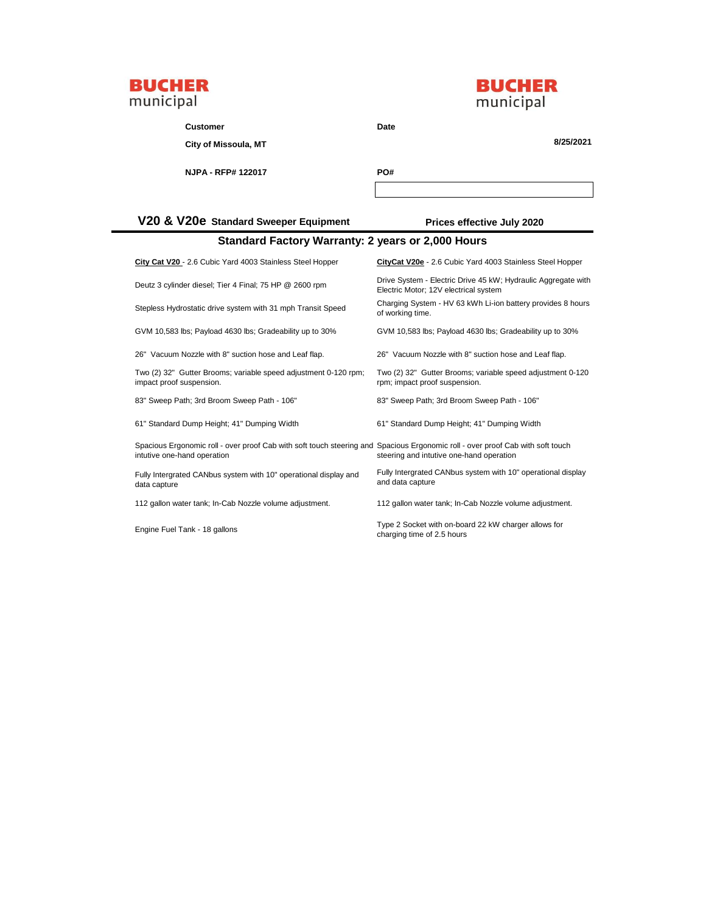



| <b>Customer</b>                       | Date                       |
|---------------------------------------|----------------------------|
| City of Missoula, MT                  | 8/25/2021                  |
| NJPA - RFP# 122017                    | PO#                        |
|                                       |                            |
| V20 & V20e Standard Sweeper Equipment | Prices effective July 2020 |

| Standard Factory Warranty: 2 years or 2,000 Hours                                                                                                             |                                                                                                        |  |  |
|---------------------------------------------------------------------------------------------------------------------------------------------------------------|--------------------------------------------------------------------------------------------------------|--|--|
| City Cat V20 - 2.6 Cubic Yard 4003 Stainless Steel Hopper                                                                                                     | CityCat V20e - 2.6 Cubic Yard 4003 Stainless Steel Hopper                                              |  |  |
| Deutz 3 cylinder diesel; Tier 4 Final; 75 HP @ 2600 rpm                                                                                                       | Drive System - Electric Drive 45 kW; Hydraulic Aggregate with<br>Electric Motor; 12V electrical system |  |  |
| Stepless Hydrostatic drive system with 31 mph Transit Speed                                                                                                   | Charging System - HV 63 kWh Li-ion battery provides 8 hours<br>of working time.                        |  |  |
| GVM 10,583 lbs; Payload 4630 lbs; Gradeability up to 30%                                                                                                      | GVM 10,583 lbs; Payload 4630 lbs; Gradeability up to 30%                                               |  |  |
| 26" Vacuum Nozzle with 8" suction hose and Leaf flap.                                                                                                         | 26" Vacuum Nozzle with 8" suction hose and Leaf flap.                                                  |  |  |
| Two (2) 32" Gutter Brooms; variable speed adjustment 0-120 rpm;<br>impact proof suspension.                                                                   | Two (2) 32" Gutter Brooms; variable speed adjustment 0-120<br>rpm; impact proof suspension.            |  |  |
| 83" Sweep Path; 3rd Broom Sweep Path - 106"                                                                                                                   | 83" Sweep Path; 3rd Broom Sweep Path - 106"                                                            |  |  |
| 61" Standard Dump Height; 41" Dumping Width                                                                                                                   | 61" Standard Dump Height; 41" Dumping Width                                                            |  |  |
| Spacious Ergonomic roll - over proof Cab with soft touch steering and Spacious Ergonomic roll - over proof Cab with soft touch<br>intutive one-hand operation | steering and intutive one-hand operation                                                               |  |  |
| Fully Intergrated CANbus system with 10" operational display and<br>data capture                                                                              | Fully Intergrated CANbus system with 10" operational display<br>and data capture                       |  |  |
| 112 gallon water tank; In-Cab Nozzle volume adjustment.                                                                                                       | 112 gallon water tank; In-Cab Nozzle volume adjustment.                                                |  |  |
| Engine Fuel Tank - 18 gallons                                                                                                                                 | Type 2 Socket with on-board 22 kW charger allows for<br>charging time of 2.5 hours                     |  |  |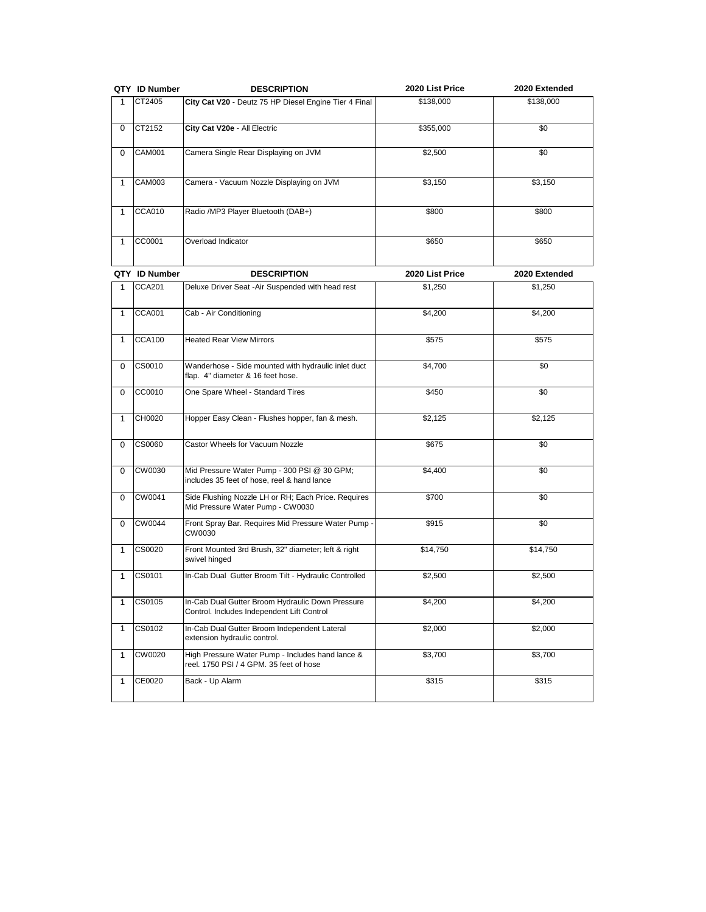|   | QTY ID Number | <b>DESCRIPTION</b>                                    | 2020 List Price | 2020 Extended |
|---|---------------|-------------------------------------------------------|-----------------|---------------|
|   | CT2405        | City Cat V20 - Deutz 75 HP Diesel Engine Tier 4 Final | \$138,000       | \$138,000     |
| 0 | CT2152        | City Cat V20e - All Electric                          | \$355,000       | \$0           |
| 0 | <b>CAM001</b> | Camera Single Rear Displaying on JVM                  | \$2,500         | \$0           |
|   | <b>CAM003</b> | Camera - Vacuum Nozzle Displaying on JVM              | \$3,150         | \$3,150       |
|   | CCA010        | Radio /MP3 Player Bluetooth (DAB+)                    | \$800           | \$800         |
|   | CC0001        | Overload Indicator                                    | \$650           | \$650         |

|              | QTY ID Number | <b>DESCRIPTION</b>                                                                             | 2020 List Price | 2020 Extended |
|--------------|---------------|------------------------------------------------------------------------------------------------|-----------------|---------------|
| 1.           | <b>CCA201</b> | Deluxe Driver Seat - Air Suspended with head rest                                              | \$1.250         | \$1.250       |
| 1            | <b>CCA001</b> | Cab - Air Conditioning                                                                         | \$4,200         | \$4,200       |
| 1            | <b>CCA100</b> | <b>Heated Rear View Mirrors</b>                                                                | \$575           | \$575         |
| 0            | CS0010        | Wanderhose - Side mounted with hydraulic inlet duct<br>flap. 4" diameter & 16 feet hose.       | \$4,700         | \$0           |
| 0            | CC0010        | One Spare Wheel - Standard Tires                                                               | \$450           | \$0           |
| 1            | CH0020        | Hopper Easy Clean - Flushes hopper, fan & mesh.                                                | \$2,125         | \$2,125       |
| 0            | CS0060        | Castor Wheels for Vacuum Nozzle                                                                | \$675           | \$0           |
| $\Omega$     | CW0030        | Mid Pressure Water Pump - 300 PSI @ 30 GPM;<br>includes 35 feet of hose, reel & hand lance     | \$4,400         | \$0           |
| $\Omega$     | CW0041        | Side Flushing Nozzle LH or RH; Each Price. Requires<br>Mid Pressure Water Pump - CW0030        | \$700           | \$0           |
| $\Omega$     | CW0044        | Front Spray Bar. Requires Mid Pressure Water Pump -<br>CW0030                                  | \$915           | \$0           |
| $\mathbf{1}$ | CS0020        | Front Mounted 3rd Brush, 32" diameter; left & right<br>swivel hinged                           | \$14,750        | \$14,750      |
| 1            | CS0101        | In-Cab Dual Gutter Broom Tilt - Hydraulic Controlled                                           | \$2,500         | \$2,500       |
| $\mathbf{1}$ | CS0105        | In-Cab Dual Gutter Broom Hydraulic Down Pressure<br>Control. Includes Independent Lift Control | \$4,200         | \$4,200       |
| 1            | CS0102        | In-Cab Dual Gutter Broom Independent Lateral<br>extension hydraulic control.                   | \$2,000         | \$2,000       |
| $\mathbf{1}$ | CW0020        | High Pressure Water Pump - Includes hand lance &<br>reel. 1750 PSI / 4 GPM. 35 feet of hose    | \$3,700         | \$3,700       |
| 1            | CE0020        | Back - Up Alarm                                                                                | \$315           | \$315         |